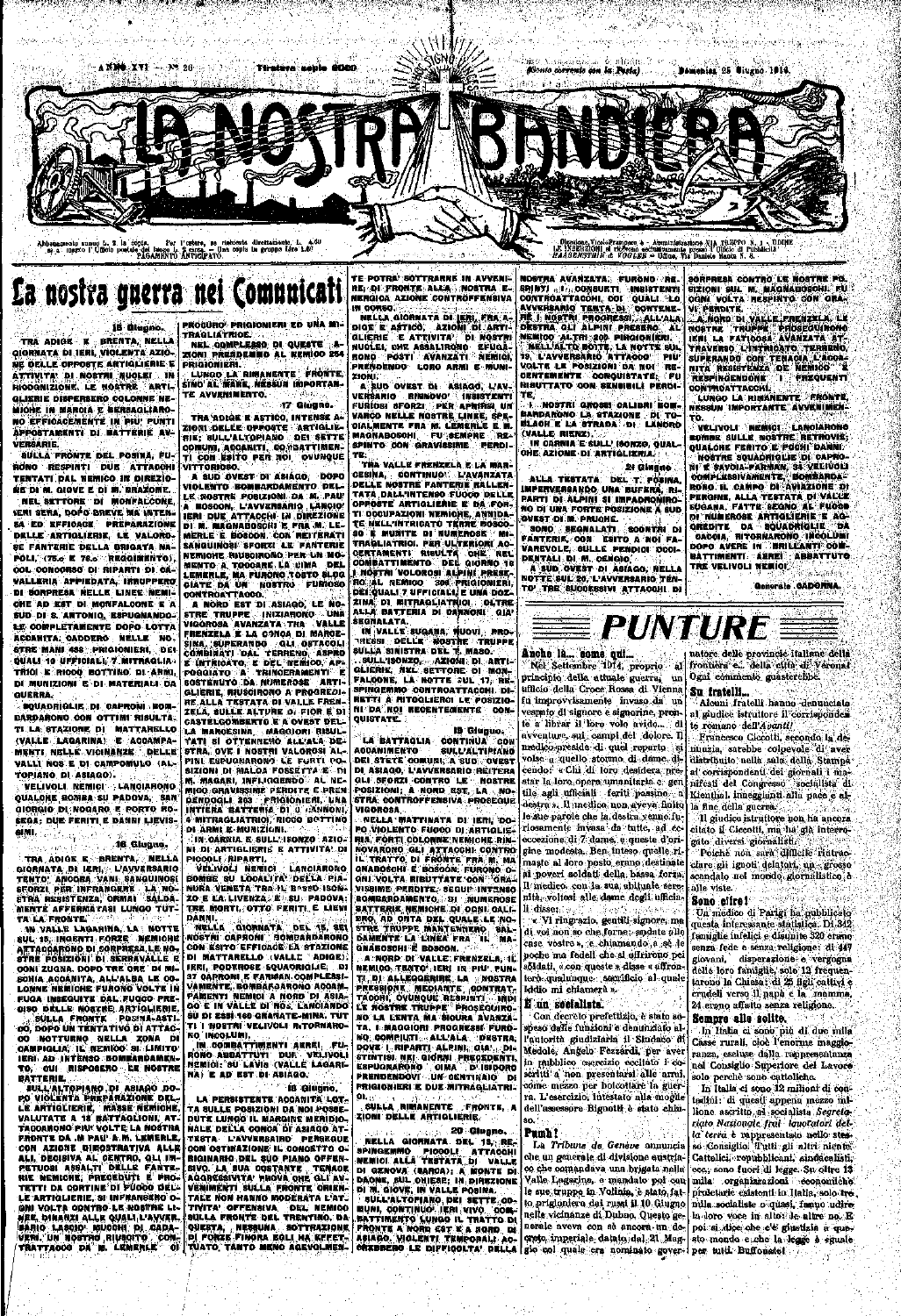

W

esto annuo L. T. la copia. Per l'estere, se risticola direttamente, L. A.C.<br>mesto l'Ufficio postale del tropo L. 2 carea. – Una copia la gruppo Lero 1.60<br>PAGAMENTO ANTICIPATO.

## La nostra guerra nei Comunicati

**15 Blugno.** 

TRA ADIOE E BRENTA, NELLA<br>QIORNATA DI IERI, VIOLENTA AZIO-NE DELLE OPPOSTE ANTIQUENIE E ATTIVITA DI NOSTRI NUOLEI IN<br>RICOGNIZIONE LE NOSTRE ARTI-**GLIERIE DISPERSERO COLONNE NE-**MIONE IN MARCIA E BERSAGLIARO NO EFFICACEMENTE IN PIÙ PUNTI APPOSTAMENTI DI BATTERIE AV-<br>VERSARIE

**SULLA FRONTE DEL POSINA, FU-**RONO RESPINTI DUE ATTACOMI TENTATI DAL NEMICO IN DIREZIO-RE DI M. GIOVE E DI M. BRAZOME. MEL SETTORE DI MONFALCONE, **IERI SERA, DOPO SREVE NA INTEN.** 

**84 ED EFFICACE PREPARAZIONE** DELLE ARTIGLIERIE, LE VALORO **SE FANTERIE DELLA BRIGATA NA-**POLI, (75.0 K 76.0 HEGGINENTO) COL CONCORSO DI RIPARTI DI GA VALLERIA APPIEDATA, IRRUPPERO DI SORPRESA NELLE LINEE NEMI-OME AD EST DI MONFALCONE E A SUD DI 8. ANTONIO, ESPUGNANDO-**LE COMPLETAMENTE DOPO LOTTO** ACCANITA, CADDERO NELLE NO .<br>STRE MANI 488 PRIQIONIERI, DE QUALI 10 UFFICIALI. 7 MITRAGLIA. TRICI E RICCO BOTTINO DI ARMI DI MUNIZIONI E DI MATERIALI DA **QUERRA** 

SQUADHIGLIE DI CAPRONI BOR DARDARONO CON OTTIMI RISULTA. TI LA STAZIONE DI MATTARELLO (VALLE LAGARINA) E ACCAMPA-MENTI NELLE VICINANZE DELLE NOS E DI CAMPOMULO (AL. TOPIANO DI ASIAGO).

VELIVOLI NEMICI LANCIARONO QUALOHE BOMBA SU PADOVA, SAN GIORGIO DI NOGARO E PORTO RO-SEGA; DUE FERITI E DANNI LIEVISaimi,

16 Gluguo.

TRA ADIOE E BRENTA NELLA GIORNATA DI LERI, L'AVVERSARIO<br>TENTO' ANCORA VANI SANGUINOSI .<br>SFORZI PER INFRANGERE LA RO-<br>STRA RESISTENZA, ORMAI SALDA.<br>MENTE AFFERMATASI LUNGO TUT-TA LA FRONTE

IN VALLE LABARINA. LA NOTTE SUL 15 INGENTI FORZE - NEMICHE<br>ATTAOGARONO DI SORPHESA LE NO<br>STRE POSIZIONI DI SERNAVALLE E OONI ZUQNA. DOPO TRE ORE DI MI-SONIA AGOANITA, ALL'ALBA LE OD-<br>SONIA AGOANITA, ALL'ALBA LE OD-<br>LONNE NEMIGHE FURONO VOLTE IN FUGA INSEGUITE DAL FUGCO PRE-OISO DELLE MOSTRE ARTIGLIERIE.<br>SULLA FRONTE POSMA-ASTI-<br>CO, DOPO UN TENTATIVO DI ATTAG-

**CO MOTTURE TRAFFATIVO DI ATTAC-<br>CO MOTTURNO MELLA ZONA DI<br>CAMPIGLIA, IL NEXILO SI LIMITO<br>IERI AD INTENSO BOMBANDAMEN-<br>TO, cui Risposeno LE NOSTRE<br>BATTERIE** 

**BATTERIE.**<br>PO VIOLENTA PREPARAZIONE DEL-<br>PO VIOLENTA PREPARAZIONE DEL-<br>LE ARTIGLIERIE, MASSE NEMICHE,<br>VALUTATE A 18 BATTAGLIONI, ATTAGOARONO PIU VOLTE LA NOSTRA<br>FRONTE DA 18 PAU<sup>L A</sup>AM, LUE<br>CON AZIONE DIBOSTRATIVA ALLE CON AZIONE DIMOSTRATIVA ALLE ALI, DECISIVA AL OENTRO, GLI IM-<br>PETUOSI ASSALTI DELLE FANTE-<br>RIE NEMIGHE, PREGEDUTI E PRO-TETTI DA CORTINE DI FUGGO DELL' LE ARTIQLIERIE, SI INFINANCIAC O-<br>QNI VOLTA CONTRO LE NOSTRE LI-HEE, DINANZI ALLE QUALI L'AVVER. BARIO LASQIO MUOCHI DI GADA-<br>Pari un nostro riuscito, con<br>Trattacco da M. Lemerle of

PRIGIONIERI ED UNA MI

**PRODURO PRIGIONIERI ED UNA MI-<br>TRAGLIATRICE 200 DI QUESTE<br>ANL QUIPLESSO DI QUESTE<br>AND PRESDEMINO AL NEMIOD 254<br>PRIGIONIERI.<br>LUNGO LA RIMANENTE FRONTE,**<br>SINO AL **NARE, NESSUN IMPORTAN-**

TE AVVENIMENTO. 17 Gluano. TRA ADIGE E ASTICO, INTENSE A

ZIONI OKLLE OPPOSTE ARTIGLIE THE BULL'ALTOPIANO DEI SETTE<br>COMUMI AGGANITI COMBATTIMENTI<br>TI CON ESITO PER NOI OVUNQUE<br>VITTORIOSO

A SUD OVEST DI ASIAGO. DOPO VIOLENTO BOBBARDAMENTO DEL<br>LE ROSTRE POSIZIONI DA M. PAU<br>A BOSCON, L'AVVERSARIO LARGIO IERI DUK ATTACCHI IN DIREZIONE<br>DI M. MAGNABOSCHI E FRA M. LE MERLE E BOSOON. CON REITERATI<br>SANGUINOSI SFORZI LE FANTERIE NEMICHE RIUSCINONO PER UN NO. NENTO A TODOARE LA UIMA DEL<br>LEMERLE, MA FURONO TOSTO SLOG<br>GIATE DA UN NOSTRO FUROSO CONTROATTACOD.

A NORD EST DI ASIAGO, LE NO. STRE TRUPPE INIZIARONO UNA<br>Vigorosa Avanzata Tha Valle<br>Frenzela e la Ognoa di Marqe FIRE SUPERING CAL GETACOLLOGINATION<br>COMBINATIONAL TERRENG ASPRO<br>COMBINATIONAL TERRENG ASPRO<br>POGGIATO A TRINGERAMENTI E<br>SOSTENUTO DA NUMEROSE ARTI-SUIERIE, RIUSCIRONO A PROGREDIE<br>HE ALLA TESTATA DI VALLE FREN-<br>ZELA, SUILLE ALTURE DI FIOR E DI **CASTELGOMBERTO E A OVEST DEL** CASTELLOMBATTU E A UVEST DELLA<br>LA MANOESHA, MAGGIORI RISUL-<br>TATI SI OTTENNENO ALL'ALA DE-<br>STRA, OVE I NOSTRI VALOROSI ALPINI ESPUGNARONO LE FURTI PO-SIZIONI DI MALOA FOSSETTA E DI SIAIDNE UL MALUA FUSSEI IA (EL INC.<br>Mico Gravissime Perdite e Prem<br>Dendogli 203 - Prigionieri, una<br>Intiera Batteria di C'ANNONI, " MITRAGLIATRIO), RICCO BOTTINO<br>DI ARMI E MUNIZIONI<br>MI CARNIA E SULL'ISONZO AZIO

NI DI ARTIGLIERIE E ATTIVITA DI

PICOOL FIRARTI.<br>PICOOL FIRARTI.<br>BOMBE SU LOOALITA DELLA PIA-<br>NURA VENETA TRADI BASSO ISON-ZO E LA LIVENZA E SU PADOVA;<br>TRE HORI: TRE M<br>DANNI MORTI, OTTO FERITI E LIEVI

**QIORNATA DEL 15, SEL** NELLA NOSTRI CAPRONI BOMBARARONO<br>CON ESITO EFFICACE EA STAZIONE<br>DI MATTARELLO (VALLE "ADIGE)<br>IERI, PODEROSE SQUAGRIGLIE, DI THE ENTROPIE STANDARD COMPLESS.<br>
VANIENT: BOMBAROARDON ACOAM I NOSTRI VELIVOLI RITORNARO-

NO INCOLUMI<br>NO COMBATTIMENTI AKREI FU-<br>NONO ABBATTUTI DUE VELIVOLI<br>NEMIOI SU LAVIS VALLE LAGARI-<br>NA) E AD EST DI ASIAGO

#### **18 Glugr**

LA PERSISTENTE ACCANITA LOT. LA FERRICH DA NOI POSE-<br>DUTE LUNGO IL MARGINE MERIDIO-<br>MALE DELLA CONCA DI ASIAGO AT-<br>TESTA - L'AVVERBAIRO - PERBEGUE OON OSTINAZIONE IL CONOETTO O CON OSTINAZIONE IL CONGETTO OLIMPICATION<br>SIVO, LA SUA COSTANTE TENAOR<br>AGGRESSIVITA' MOVA ONE GLI AV-<br>VENIMENTI SULLA FRONTE ORIEN-<br>TALE NON HANNO NODERATA L'ATTRICATION<br>TIVITA' OFFENSIVA OBLI NEMIGO<br>SILLA FRONTE DEL TRENTI QUESTA, NESSUNA SOTTRAZIONE<br>Di Forze Finora Soli Ha Effet-<br>Tuato, Tanto Meno Agevolmen-

TE POTRA SOTTRARNE IN AVVENI **RE-OL FRONTE ALLA NOSTRA E-<br>NERGIOA AZIONE CONTROFFENSIVA** 

MERGIORA AZIONE CONTROFFERIBIVA<br>
IN CORSO, ACORNATA DI LERI, FRA A-<br>
DIGE E ASTICO, AZIONI DI ARTI-<br>
GLIERIE E ATTICO, AZIONI DI MOSTRI<br>
NUGLEI: DIE ASSALIRONO EFUGA<br>
RONO FOSTI AVANZATI REMICI,<br>
PRENDENDO LORO ARMI E MUNI zioni :

ZIONI:<br>
CARLO OVEST DI ASIAGO, L'AV-<br>
VERSARIO - RINNOVO | INSISTENTI<br>
FURIOSI SFORZI - PER APRIRSI UN<br>
VARGO NELLE NOSTRE LINEE, SPE-<br>
CIALMENTE FRA M. LEMERLE E M.<br>
MAGNABOSONI - FU GEMPRE - RE-<br>
TR TR.

THA VALLE FRENZELA E LA MAR CESINA, CONTINUO L'AVANZATA<br>DELLE NOSTRE PANTERIE RALLEN-TATA DALL'INTENSO FUOCO DELLE **OPPOSTE ARTIQUERE E DA FOR<br>TI ODQUPAZIONI NEMIONE, ANNIDA<br>TE NELL'INTRICATO TRANE DOSCO** SO È MUNITE DI NUMEROSE SO E MUNITE DI NUMEROSE MI-<br>TRAGLIATRICI PIENDITA COMPATTIMENTO DEL GIORNO TE<br>COMPATTIMENTO DEL GIORNO TE<br>J.NOSTRI VOLOROSI ALPINI PRESE.<br>TROGLALI TUFFICIALI E UNA DOZA<br>DELQUALI TUFFICIALI E UNA DOZA<br>ZINA DI MITRAGLIATRICI -mi **SEGNALATA** 

IN VALLE BUGANA, NUOVI

M VALLE SUGARA, RUOVI, FRUT<br>
TRUPPE DELLE WORTHE TRUPPE<br>
SULLE SINISTRA DEL T. MASO.<br>
SULLE SINISTRA DEL T. MASO.<br>
SULLE SUNCO DONTRO DI MONTAGONI.<br>
FALGONE, LA NOTTE PUL 17, RET.<br>
SPINGEMO DONTRO DI TRONONI DETTI A SITIOL **RETTI A MITOGLIERCI LE POSIZIO-<br>NI DA NOI REGENTEMENTE CON-**QUISTATE.

#### 19 Gluauo.

LA BATTAGLIA CONTINUA CON<br>ACCAMIMENTO SULL'ALTIPIANO<br>DEI STETE COMUNI A SUD QVEST DI ASIAGO, L'AVVERSARIO REITERA GLI SFORZI CONTRO LE MOSTRE<br>POSIZIONI: A NORD EST, LA NO-<br>STRA CONTROFFENSIVA PROSEQUE VIGOROSA

**THELLA MATTINATA DI IBRI 00-<br>PO VIOLENTO FUOCO DI ARTIGLIE:<br>RIA, FORTI COLONNE NEMIOHE RIN-**NOVARONO GLI ATTACCHI CONTRO<br>Il tratto di Fronte Fra M. Ma<br>Gnaboschi e Boscon: Furono o<br>Gni Volta Ributtate con "Gra" VISBIME PERDITE, SEGUP INTENSO ROMBARDAMENTO DI NUMEROSE<br>BATTERIE NEMIONE DI OGNI DALI-<br>BRO, AD ONTA DEL QUALE LE NO-STRE TRUPPE MANTENNERO SAL-<br>DAMENTE LA LINEA FRA IL MA-<br>GNABOSOHI È BOSOON.<br>A NORD DI VALLE FRENZELA, IL

**NERIOO TENTO IERI IN PIU PUNATA PRESSIONE MEDIANTE CONTRA<br>PRESSIONE MEDIANTE CONTRATA<br>TACCHI, OVUNOUE RESPINTI INDI** TACORE, OVUNQUE RESPINTI (ANDI)<br>LE NOSTRE TRUPPE PROSECUIRO<br>NO LA EERTA MA SIQURA AVANZA<br>TA, LAMAGGIORI PROGRESSE FURO<br>WO COMELUTI ALL'ALA (DESTRA;<br>STINTISI, NEL GIORNI PREGEDENTI,<br>ESPUGNARONO (OMA D'ISIDORO)<br>ERPUGNARONO ( **PRIGIONIERI E DUZ MITRAGLIATRI.** 

OL. SULLA MINANENTE FRO<br>Zioni delle Antiglierie FRONTE, A

#### 20 Gluano

A GIORNATA DEL 18, RE SPINGEMMO PIOGOLI ATTAGONI<br>Nemigi alla testata di Valle

. Diredone Vicolo Primpero & - Amministrazione VIA, TRIKOPO N. 1 - UDINK<br>LE INSERVACINI IN TOCTORIO esclusivamente presso il Ullicio di Publicola .<br>HAACEMSTHIN & VOOLER - Udine, Ta Daniele Manix N. 8.

NOSTRA AVARIATA: FURONO NE.<br>SPINTI (17. CONSUETI, INSISTENTI<br>AVVERSARIO TENTA DI CONTENE-<br>AVVERSARIO TENTA DI CONTENE-<br>JEL NOSTRI PROGRESSI ALL'ALA<br>DESTRA GLI ALPINI PRESSRO, ALL'ALA<br>NEMICI ALTRI 200 PINCIONICATE UL VOLTE NOSTRA AVANZATA: FURONO DE RIBUTTATO CON SENGIBILI PERDI

**L. NOSTRI QROSSI CALIBRI BOW BARDARONO LA STAZIONE DI TO-<br>BLAOH E LA STRADA DI LANDRO BLAULE RIENZ).<br>ANALLE RIENZ).<br>CHE AZIONE DI ARTIGLIENIA.** 

21 Giugno

ALLA TESTATA DEL T. POSINA ALLA TESTATA DEL T. POSINA,<br>INFERITADO UNA BUFARÁ, N.<br>PARTI DE ALPINI SI IMPADRONIRO<br>NO DI UNA FORTE POSIZIONE A SUD<br>QUEST DI M. PRUGHE.<br>FANTERIE, CON ESITO A NOI FA-VAREVOLE, SULLE PRUGIO DOCI-<br>DENTALI, DI M. OSNOVIC, A S A SUD OVEST DI ASIAGO. NELLA NOTTE SUL 20, L'AVVERSAR

TO TRE SUCCESSIVI ATTACCHI DI

SORPRESA CONTRO LE NOSTRE PO.<br>SIZIONI SUL M. MAGNAROSCHI. FU.<br>OGNI VOLTA RESPINTO CON GRAN VI. PERDITE.

VI PARDITE.<br>
A MORD DI VALLE PRENZILA LE<br>
NOSTRE TRUPPE PROSEAURORA<br>
IEM, LA FATIOOSA AVANZATA AT<br>
TRAVERSO L'INTRIGATO TERACIA LACCA<br>
TREPINGENDONE : FREQUENTI<br>
CONTROATTACONIE : FREQUENTI<br>
CONTROATTACONIE : FREQUENTI<br>
CO

" LUNGO LA RIMANENTE "FRONTE"<br>VESSUN IMPORTANTE AVVENIMEN-<br>"A TÒ.

VELIVOLI NEMIOI LANOIARONO **ROMAE SULLE NOSTRE RETROVIE:** 

**SOMME SULLE NOTTE RECORD DAMNET AND CONTROL**<br>
THOSTIC SOLADRIQUE DE CAPRO-<br>
NOSTRE SQUADRIQUE DE CAPRO-<br>
NO SAVOIA-FARMAN, 24 VELIVOLI<br>
ROMO IL CAMPO DE AVIAZIONE DI<br>
FERGINS, ALLA TESTATA DI VALLE<br>
SUGARA, FATTE SEGNO AL D' NUMEROSE ARTIGLIERIE E AGA<br>CHEDITE DA SQUADRIGLIE DA<br>CARDITE DA SQUADRIGLIE DA<br>DOPO AVERE IN BRILLANTI COM BATTIMENTI AEREI ABBATTUTO<br>TRE VELIVOLI NEBIOI

Generale CADORNA.

PUNTURE

Nel Settembre 1914, proprio principio della attuale guerra, un | ufficio della Croce Rossa di Vienna fu improvvisamente invaso da un vesmaio di signore e signorine, pronte a librar il loro volo avido... 'aί avventure, sui campi del dolore. Il medico-preside di quel reparto si volse <sub>d</sub> quello stormo di dame dicendo: « Clu di loro desidera pretar la loro opera umanitaria e gen tile agli ufficiali feriti passino destra». Il inedico non aveva finito le sue parole che la destra venne furiosamente invasa da tutte, ad ececcezione di 7 dame, e queste d'origine modesta. Ben inteso quelle rimaste al loro posto erano destinate<br>al poveri soldati della bassa forza: Il medico, con la sua abituale ser nità, voltosi alle dame degli ufficiali disse:

« Vi ringrazio, gentili signore, ma di voi non so che farne: andate allo case vostre», e chiamando a sé le poche ma fedeli che si offrirono pei sõldati, « con queste » disse « affronterò qualunque sacrificio al quale Iddio mi chiamerà ».

#### E un socialista.

Con decreto prefettizio, è stato sol'autorità giudiziaria il Sindaco di Medole, Angelo Fezzardi, per aver in pubblico esercizio eccitato i coscritti a non presentaral alle armi. come mezzo per boicottare la guerra, L'esercizio, intestato alla moglie dell'assessore Bignotif è stato chiu-50,

Pumh!

La Tribune de Genève annuncia che un generale di divisione enstria-ENERIOL ALLA TRIPATA DI VALLE per un semperatore analisi ecc., sono fuori di legge. Su contratta di legge. Su contratta di legge. Su contratta di legge. Su contratta di legge. Su contratta di legge. Su contratta di legge.

natore delle provincie italiane della Ogni commento guasterebbe. Su fratelli...

Alcuni fratelli hanno denunciato al giudice istruttore il corrispondes te romano dell'Avanti!

Francesco Ciccotti, secondo la denúnzia, satebbe colpevole di aver<br>distribuito nella sala della Stampa al corrispondenti dei giornali i manifesti del Congresso socialista di Kienthal, inneggianti alla pace e alla fine della guerra.

Il ciudica istruttore non ha ancora citato il Ciccotti, ma ha glà interrogato diversi giornalisti.

Poiche non sarà difficile rintracclare gli ignoti delatori, un grosso scandalo nel mondo giornalistico è alle viste. Sono cifre!

Un medico di Parigi ha pubblicato questa interessante statistica. Di 342<br>famiglie infelici e disunite 320 erano senza fede e senza religione: di 447 giovani, disperazione e vergogna<br>delle loro famiglie, solo 12 frequentarono la Chiesa; di 25 figli cattivi e crudeli verso il papà e la mamma, 24 erano affatto senza religione.

Sempre alle solite. In Italia el sono più di due mila<br>Casse rurali, cioè l'enorme maggioranza, escluse dalla reppresentanza nel Consiglio Superiore del Lavore solo perchè sono cattoliche.

In Italia ci sono 12 milioni di contedini: di questi appena mezzo milione ascritto al socialista Segretoriato Nazionale frai lavotatori della terra è inpuresentato nello stes-<br>so Consiglio Tutti gli altri niente Cattolici, repubblicani, sindacalisti, ecc., sono fuori di legge. Su oltre 13 mila organizzazioni coopomiche proletarie esistenti in Italia, solo tre, mila socialiste o quasi, fanno udire la doro voce in alto: de altre no. E poi si dice che c'è giustizia a questo mondo e che la legge è eguale W

# Anche la... come qui...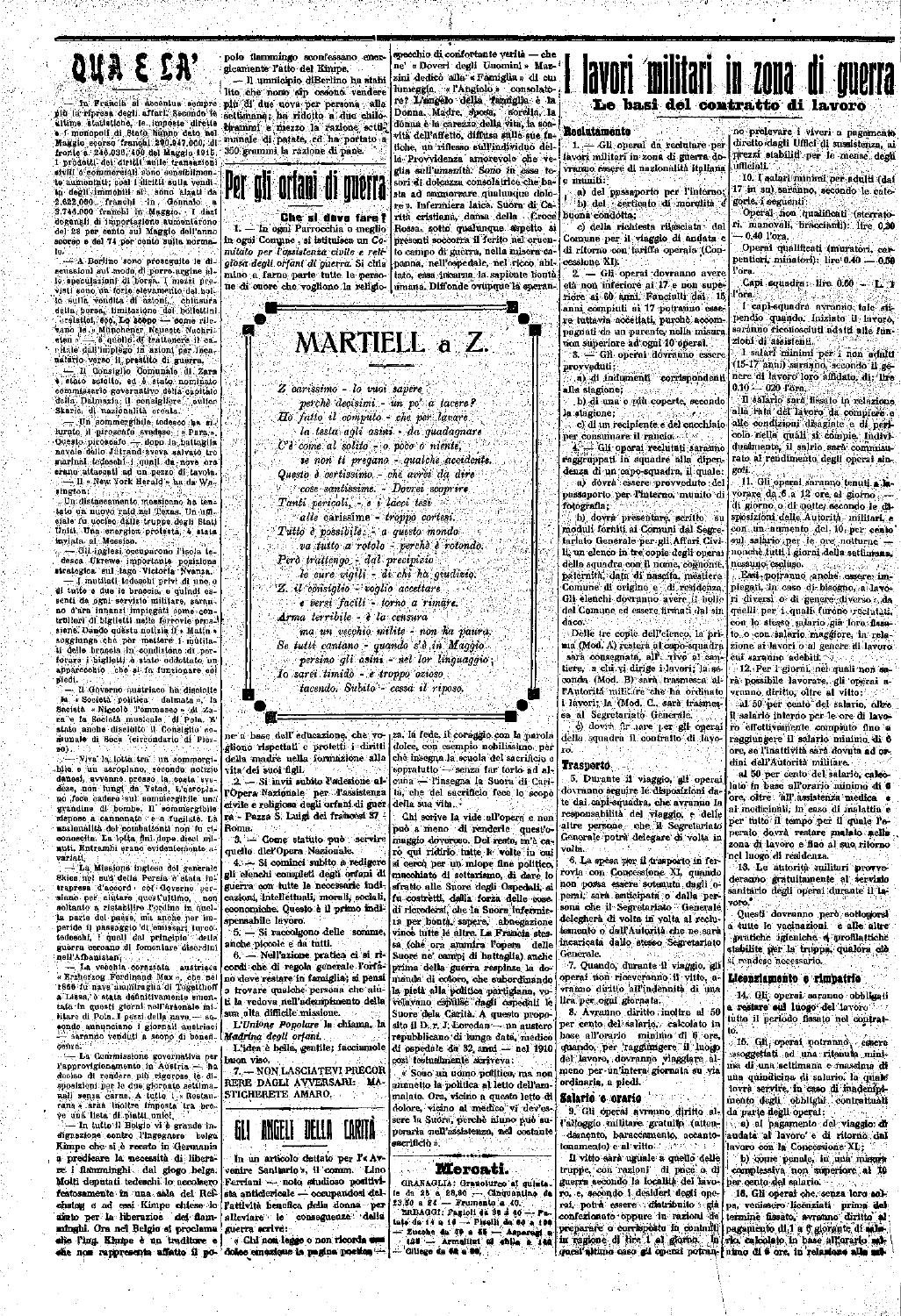

In Francia si accentus più la ripresa degli affari. Secondo le<br>ultime Btaliatiche, le imposte dirette<br>• í monopoli di Stato hanno dato nel Maggio scorso Trancili 200.947.000, di fronte a 246.039. 400 del Maggio 1015. I prodotti dei diritti sulle transazioni civili 0 commerciali sono sonsibilmon-to aumentati; cosi i diritti sulla vendila degli immobili si sono alcati da<br>2.622.000 franchi in Gennalo a<br>3.746.000 franchi in Maggio 1 dazi<br>deganali di importazione aumentarono<br>del 28 per cento sul Maggio dell'anno<br>socreo e del 74 per cento sulla norma

— A Berlino sono proseguito le discussioni sul modo di porre argine al-<br>14. speculazioni di borsa. I mezzi pre-<br>visti sono un forte elevamento del bollo sulla vendita di azioni, chiusura<br>della borsa, limitazione dei bollettini , orelstici, eoo. Lo scopo — come rile-<br>vano le » Münchener, Neueste Nachri-<br>eten » — è quollo di trattenere il ca-[•tl.il](http://�tl.il) lo riall'iinpiogo in azioni per inca-nalarlo verso il prestito di guerra.

— Il Consiglio Comunale di Zara • stato sciolto, ed ò stato nominato commissario governativo della capitale della Dalmazia il consigliere .aulico Skaric, di nazionalità croata.

Un sommergibile tedesco (pa si lurato il prososto svedesco e Para a Cuesto piccesso (pa della para a della della particia della della particia della della particia della particia della particia della particia della partici

«ington: Un distaccamento messicano ha tentato un nuovo raid nel Texas. Un uffi-<br>oiale fu ucciso dalle truppe degli Stati<br>Uniti. Una oncrgica, protesta, è stata<br>inviata al Messico.

— Gli inglesi occuparono l'isola te- . dosca Ukrewe importante posizione atrategica sul lago Victoria Nvanza. —• I mutilati todesoh) privi di uno o

di lutto e due le braccia, e quindi es-senti da ogni servizio militare, saran-no d'ara innanzi impiegati come controllori di biglietti nelle ferrovie prussiane. Dando questa notizia il « Matin » soggiungo che por mettere- i mutila-ti delle braccia in condiziono di perforare i biglietti ò stato oddoltato un arecchio che si fa funzionare piedi. — Il Governo austriaco ha dìsciolte

la « Società politica dalmata », la<br>Saoietà « Niccolò Tommaseo » di Za-<br>ra e la Società musicale di Pola. R'<br>stato anche disciolto il Consiglio comunale di Soca (circondario di Ple/ zo).

— Viva" la lotta tra un. somrnorgi- ,bile o un aeroplano, secondo notizie danosi, avvenne presso la costa svedese, non jungi da Ystad, L'aeropla-<br>no fece cadere sul sommergible una<br>grandine di bornbe. Il sommergible una<br>rièpose a cannonate - a fucilate La<br>maionalità del combattenti non fu vi-<br>conoscita. La lotta fini dope deci mi »uti, Entnunbì erano evidentemente avariati.

—-La Missione inglese del generalo Skies nel sud delia Persia *lì* stata Intrapresa d'accord i col Governo per siano per alutare quest'ultimo, non soltanto a ristabilite l'ordine in quel-<br>la parie del paese un amolto per in-<br>la parie del paese un amolto per in-<br>peride il paeseggio di omissari turco;<br>redecahi, i quali dal principio

« Erzherzog Ferdinand Max », che nel<br>1866 fu nave ammiraglia di Togotthoff<br>a Lissa, è stata definitivamente smontata in questi giorni nell'arsenale mi-<br>litare di Pola. I pezzi della nave — se-<br>condo annunciano ì giornali austriaci<br>— saranno venduti a scopo di beneflocnza.

•— r.a Commissione governativa per l'approvigionamento in Austria — ha deciso di rendere più rigorose lo disposizioni per le due giornate settimanali senza carne. A tutto i « Bostaurans » .srah inoltro imposta tra bre-ve una lista di piatti unici.

—• In tutto il Belgio vi è grande indignazione contro l'ingegnere belga Kimpe che si è recato in Germania<br>a predicare la necessità di liberaedicare la necessità di liberare i fiaimninghi dal giogo belga. Molti deputati tedeschi lo accolsero featosamente in una sala del Reichatog e ad essi Kimpe chiese lo aiuto per la liberazioe dei &ammbiglii. Ora nel Belgio si proclama «Kfl ring. Elniipe *i* nn traditole e | «he non rapprescnia affatto il po-

polo flammingo sconfessano ene gicamente l'atto del Kimpe. — Il umnicipio diBerlino ha stabi lito che nouo sip ossono vendere

più di due uova per persona alla settimana: ha ridotto a due chilolirammi e mezzo la razione scitimanalle di patate, ed ha portato a 350 grammi la razione di pane.



**Che si dava fare?** 1. •— In ogni Parrocchia o meglio in ogni Coinjine , si i.stìtiiisca un *Comitato per l'assistenza civile e religiosa degli orfani di guerra.* Si chia mino a farne parte tutte le persone di cuore che vogliono la religiospeochio di confortante verità — che ne' « Doveri degli Uuomini » Marzini dedicò alla « Fnimiglia » *<\x* om lume.ggia « l'Angiolo » consolatore ? L'angelo della , 'fatm'igliia è Ha Donna. Madre, sposa, sorella, la donna è la caitìzza della vita, la soavità dell'affetto, diffusa sulle sue fatiche, un riflesso sull'individuo della Provvidenza amorevoJe che veglia sull'umanità. Sono in essa tesori di dolcezza consolatrice che basta ad ammorzare qualunque dolore >i. Infermiera laica. Suora di Carità cristiana, daima della Croce Rossa, sotto qualunque aspetto si presenti soccorra il ferito nel cruento campo di guerra, nella misera cal>anna, ncll'osipedale, nel ricco abitato, essa incarna la sapiente bontà umana. Diffonde ovupque la spcran-

lavori militari in zona di guerra **Iie basi dei contratto di lavoro** 

#### **Reclutamento**

I 1. — GU operai da recintare per lavori militari in zona di guerra dovramuo essere di nazionalità italiana e mimili:

a) del passaporto per l'interno b) del corticato di moralità *d*  buona condotta;

c) della richiesta rilasciata dal .<br>Comune per il viaggio di andata e di ritorno con tariffa operaia (Con-: cessione XI).

2. — Gli operai dovranno avere età noù inferiore ai 17 e non superiore al 60 anni. Fanciulli dai 15 anni compiuti ai 17 potranno essere tuttavia aocetlati, puroliè accompagnati da un parente, nella misura non superiore ad ogni 10 operai. 3. - Gli operai dovranno esser provveduti:

a) di indumenti corrispondenti alla stagione;

b) di una o più coperte, secondo la stagione; ' c) di un recipiente e del cncchiaio

per consumare il rancio. 4. — Gli operai reclutati saranno

I raggruppali in Squadre alla dipendenza di un capo-squadra, il quale: a) dovrà essere provveduto del passaporto per l'interno, munito di fotografìa ;

b) *Aavra* presentare, scritto su moduli forniti ai Comuni dal Segretarlato Generale per gli Affari Civili, un elenco in tre copie degli operai della squadra con il nome, cognome, paternità, data di nascila, mestiere Comune di origine e di residenza, fili elenchi dovranno avere *i'.* liollcdel Comune ed essere Jinnal.! dal sin daco.

Delle tre copie dell'clenco, la pri-Bia (Mod. A) resterà al capo-squadra sarà consegnata, all'irivo al canlicre, a chi vi dirige i lavori; la seconda (Mod. B) sarà trasmesca all'Autorità iiìililirc che ha ordinato i lavori; la (Mod. C. sarà trasmessa al Segretariato Generale. e) dovii- *".:•* lare j.or gli operai

della .squadra il contralto di lavoro.

#### **Trasparto**

5. Diu-ante il viaggio, gli operai dovranno seguire le disposizioni date dai capi-squadra, che avranno la responsabilità del viaggio, e delle altre persone che il Segretariato Generale potrà delegare di volta in volta.

6. La spesa per il trasporto in feri-ovia con Concessione XI, quando non possa essere sotenuta dagli operai, sarà anticipata o dalla per ona che il Segretariato Generale delegherà di volta in volta al reclutamento o dall'Autorità che ne sarà incaricata dallo stesso Segretariato (ìeucrale.

7. Quando, durante il viaggio, gli operai non riceveranno il vitto, avranno diritto all'indennità di una lira per ogni giornata.

8. Avranno diritto inoltre al 50 per cento del salario, calcolato in base all'orario minimo di 6 ore, q^iando, per 'raggiùngere il luog|o del lavoro, dovranno viaggiare almeno per un'intera giornata su via ordinaria, a piedi.

#### **Salario e orario**

!). Gli operai avranno diritto alralloggio militare gratuli)» (attendemento, baraccamento, aocantotonamento) e al vitto

Il vitto sarà uguale a quello dello truppe, con razioni dì juacc o di guerra secondo la località del lavoro, e, secondo i desideri degli ope rai, potrà essere distribuito già confezionato oppure in razioni da preparare e corrispòsta in contanti iu ragione di lire 1 al gloroo. In in regione di tire 1 al giorno. In rio, calcolato in base all'orario mi- *\ quesi* altimo caso all operat potran- intro di 6 ore, in relamente alle mi-

o prelevare i viveri a pagamento diretto'dagli Uffici di sussistenza, ai fjrezzi stabiliti per le mense dogli uillciali. 10. I salari minimi per-adulti (dai

17 in su) saranno, secondo le categorie, i seguenti :

Operai non quailificati (sterratori, manovali, braccianti): lire 0.30 0.40 l'ora.

Operai qualificati (muratori, carpentieri, minatori); lire'0.40 — 0.50 l'ora.

Capi squadra: lire  $0.60 - 1$  t l'ora.

I capi-squadra avranno, tale stipendio quando, iniziato il livoro, saranno riconosciuti adatti alle funzioni di assistenti.

1 salari minimi per i non adulti (15-17 anni) .sarai^no, secondò il genere di lavoro loro affidato, di: lire 0.10 — 020 l'ora.

n salario sarà fissato in relazione alla rata del lavoro da compiere e alle condizioni disagiato e di pericolo noUa quali si compie. Individualmente, il salrio sarà commisurato al rendimento degli operai singoli.

11. Gli operai saranno tenuti a lavorare da 6 a 12 ore al giorno di giorno o di potte, secondo le dispiosizioni delle Autorità militari, e con un aumento del 10 per cento ' sul .salario per le ore notturne noncliè tutti i giorni della settimana, nessuno escluso. Essi • potranno anche essere impiegati, in caso di bisogno, a lavori diverai o di genere diverso da quelli per i quali furono reclutati, con lo stesso salario già loro fissato o con salario maggiore, in relazione ai lavori o al genere di lavoro cui saranno adcbiti.

12. Per i giorni, nei quali non sarà po.ssibile lavorare, gli operai avrunno diritto, oltre al vitto; al 50 per cento del salario, olbre

il salario interno pe r le ore di lavoro effettivamente compiuto fino o raggiungere il salario minimo, di 6 ore, se l'inattività sarà dovuta ad ordini dell'Autorità miUlare.

al 50 per cento del salario, calcolato in base all'orario minimo di 6 ore, oltre all' assistenza medica *e*  ai medicinali, in caso di malattia e per tutto il teanpo per U quale l'operaio dovrà restare malato aella zona di lavoro e fino al suo ritomo nel luogo di residenza.

13. Le autorità anilitari provvederanno gratuitamente al servisto sanitario degli operai durante il lavoro.\*

Questi dovranno però sottoporsi a tutte Io vacinazioni e alle altre pratiche igieniche e profilattiche stabilite per la truppa, qualora ciò i rendese necessario.

#### **Licenziamento e rimjpatrio**

14. Gli operai saranno obbligati a **restare aul luogo del l**avoro tutto il periodo fissato nel contratto.

15. Gli operai potranno .ssoggettati ad una ritenuta minima di una settimana e massima di una quindicina di salario, la quale lovrà servire, in caso di inadenipimento degli obblighi contrattuali

da parte degli operai: a) al pagamento del viaggio *ài*  andatà al lavoro e di ritorno dal lavoro con la Concessione XI.;

b) come penale, in una miscra complessiva non superiore al 10 per cento del salario.

16. Gli operai che, senza loro *ooì*pa, venissero licenziati prima del termine fissato, avranno diritto al pagamento di 1 a 6 giorante di misnimo di 6 ore, in relazione alla ad-

**MARTIELL a Z.**  *Z carissimo* - *lo vuoi sapere perchè t^ecisimi - un po' a tacere ? Ho fatto il computo - che per lavare la testa-agli asini - da guadagnare C'è come al solito* - *o poco a niente', se non ti pregano* - *gualche accùlenie. Questo è certissimo* - *che avrei da dire cose santissime. - Dovrei scoprir\* Tanti pericoli, -et làcci tesi '*   $$ *Tutto è,possibile: - a guasto mondo va tutto a rotolo - perchè è rotondo. Però trattengo - dal precipizio le cure vigili - di chi ha giudizio. Z. il consiglio - voglio accettare e versi facili - torno a rimare. Arma terribile - è la censura ma un vecchio milite* - *non ha paura. Se tutti cantano - quando s'è in Maggio persino gli asini - nel lor linguaggio* ; *Io sarei timido -.e troppo ozioso tacendo. Subito - cessa il riposo.* 

ne- a base dell' educazione, che vogliono rispettali o protetti i diritti della madre nella formazione alla vita dei suoi tìgli. 2. — Si invìi subito l'adesione all'Opera Nazionale per l'assistenza civile e religiosa degli orfani di guer ra - Pazza S. Luigi dei francesi 37 -Roma.

**B** 

礟

 $3. -$  Come statuto può servire quello dlel'Opera Nazionale.

4. — Si cominci subito o redigere gli elenchi compileti degli orfani di guerra con tutte le necessarie indicazioni, intellettuali, morali, sociali, economiche. Questo è U primo indispensabile lavoro.

5. — Si raccolgono delle somme, anche piccole e da tutti.

6. — Nell'azione pratica d si ricordi che di regola generale l'orfano deve restare in famiglia; si pensi 3 trovare qualclie persona che aiuti la vedova nell'adempimento della sua alta difficile missione. *h'Unione Popolare* la chiama, la

*Madrina degli orfani.*  L'idea è bella, gentile; facciamole

buon viso. 7. — NON LASCIATEVI PRECOR RERE DAGLI AVVERSARI: MA-



STICHERETE AMARO.

In un articolo dettato per l'« Av vcinire Sanitario», il conun. Lino Ferriani — noto studioso positivista antiolerioale — occupandosi dell'attività beneflca della donna per alleviare le conseguenze della guerra ecrivei:

d Chi non legge o non ricorda **em** dolce emoolqfDe la pagina poetiM) *'—*  *za,* la fede, il coraggio con la parola dolce, con esempio nobilissimo per che insegna la scuola del sacriilcio e sopratutto — senza far torto ad al $v$ una — l'insegna la Suora di Carita, che del sacrificio fece lo scopo della sua 'vita. - Chi scrive la vide all'opera e non

può a meno di renderle quest'omaggio doveo-oso. Del resto, an'è caro qui ridirlo tutte le volte in cui si cercò per un miope fine politico, mucchiato di settarismo, di dare lo sfratto alle Suore degli Ospedali, si fu costretti, dalla forza delle cose, di ricredersi, che la Suora infermicin per bontà,' sapere, abnegazione vince tutte le altre. La Francia stessa (ohé ora ammira l'opera delle Suore ne' campi di battaglia) anclic prima della guerra respinse la domanda di coloro, che subordinando la pietà alla politica partigiana, vovelavano ésp'lilise dagli ospe<lali le Suore dela Carità. A questo proposito il D. r. J. Loredan — im austero repubblicano di lunga data, medico di ospedale da 32, anni — nel 1910 così testualmente scriveva:

« Sono uii uomo politico, ma non ammetto la politica al letto dell'ammalato. Ora, vicino a questo letto di dolore, vicino al medico vi dev'essere la Suora, perchè ninno può superarla nell'assistenza, nel costante saicrificio ».

#### **Mercati.**

GRANAGLIA: Granolurco el guista-<br>
le da 26 a 24 - Feumento a 40<br>
23,50 a 24 - Feumento a 40<br>
23,50 a 24 - Feumento a 40<br>
25,50 a 24 - Feudento a 40<br>
26 - Eucone da 49 a 55 - Aspered a<br>
- Zuone da 49 a 55 - Aspered a<br>
- Cu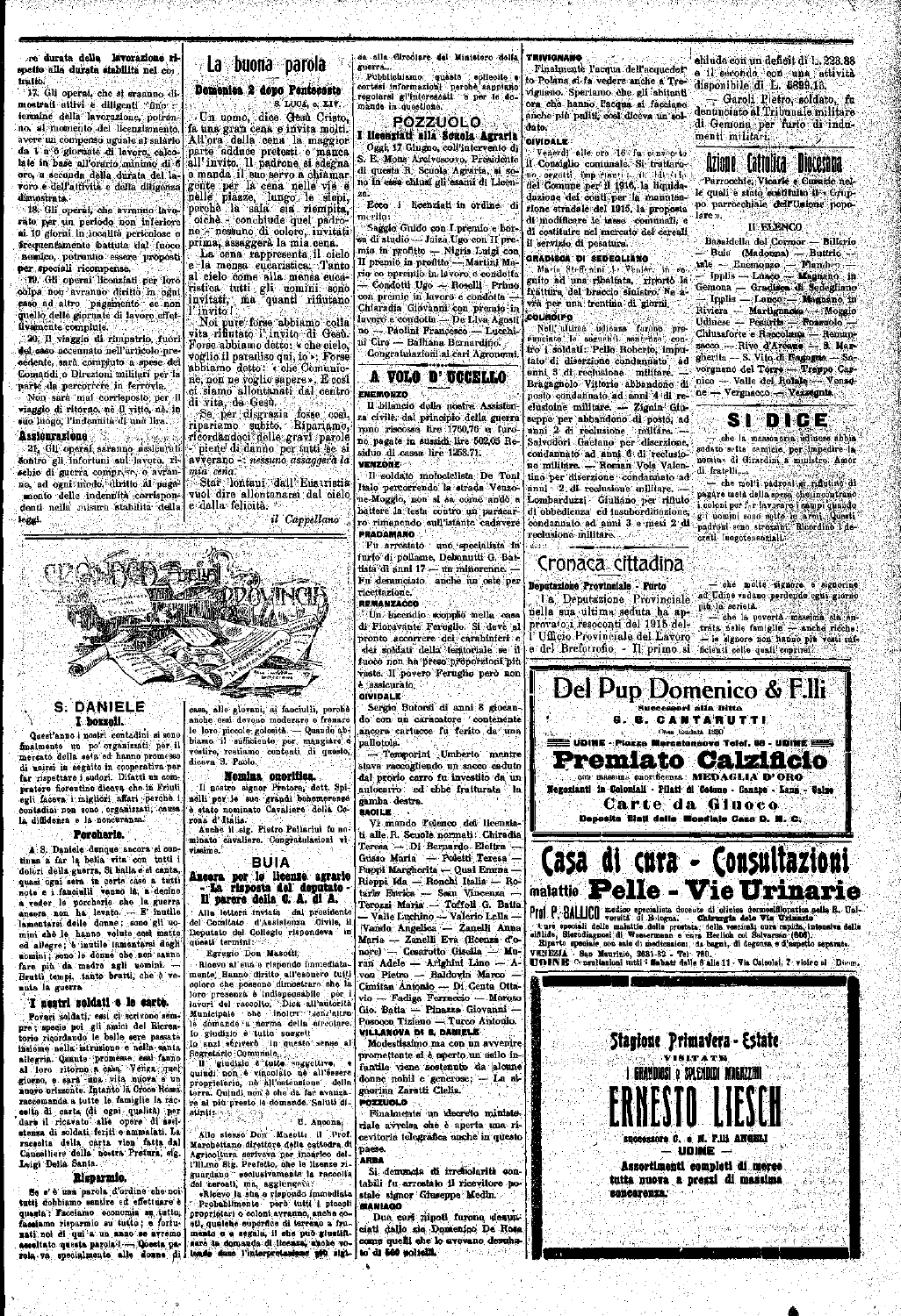**1% durata della lavorazione, ri spetto alla durata stabilita nel coi tratto.** 

17. Gli operai, che si sraanno dimostrati attivi e diligenti "fino i<sup>.</sup> termine della lavorazione, potran**no, al numnehlo del licenziajnento, avere lui compenso uguale al salario da 1 a 6 gioraate di lavoro, calcolale in base all'orarlo minimo di 6 ore, a seconda della durata del latoro e deiraltività e della diligenza dimostrata.** 

**18. Gli operai, che avranno lavorato Pier un periodo non inferiore ai 10 giorni in. località pericolose o frequentamente battute Wal fuoco nemico, potranno essere proposti per speciali ricompense.** 

**19. GU operai licenziali per loro cólpa non avranno diritto in ogni caso ad alti-o pagamento se non quello delle giornale di lavoro effettivamente compiuto.** 

**aO. II viaggio di rimpatrio, fuori dot easo accennato nell'articolo precedente, sarà compiìuto a apese dei Comandi o Direzioni militari per la parte da percorrere in ferrovia.** 

**Non sarà mai corrisposto per il viaggio di ritorno, ne il vitto, né, in suo luogo, l'indcnniln di una lira. Assicurazione** 

**21, Gli operai saranno assicui'cUi Sontro gli infortuni sul lavoro, ri**schio di guerra compreso, o avran**no, ad ogni modo, dii-itto al pagamento delle indennità corrispon**denti nella *misura* stabilita della **ieggi.** 

## **La buona parola**

i<br>III. ilialiselt liituvat valtalainen kunnan kunnan kunnan kunnan kunnan kunnan kunnan kunnan kunnan kunnan kun

#### **Domenioa** *i* **dopo Penteeoiite S. LODA, o. XIr.**

• Dn uomo, dice Ghèsù Cristo, fa una gran cena e invita molti. All'ora della cena la maggior parte adduce pretesti e manca all' invito. Il padrone si sdegna e manda il suo servo a chiamar gente per la cena nelle vie e nelle piazze, lungo le siepi, perchè la sala sia riempita, ciche - conuhiude quel padrone - nessuno di coloro, invitati prima, assaggerà la mia cena.

La cena rappresenta il cielo e la mensa eucaristica. Tanto al cielo come alla mensa euca-ristica tutti gli uomini sono invitati, ma quanti rifiutano r invito 1

Noi pure forse abbiamo colla vita rifiutato 1' invito di Gesù. Forse abbiamo detto: « che cielo,<br>voglio il paradiso qui, io ». Forse abbiamo detto: « che pomunione, non ne voglio sapere». E così ci siamo allontanati dal centro di vita, da Gesù.

Se per disgrazia fosse così, ripariamo subito. Ripariamo, ricordandoci delle gravi parole - piene di danno per tutti se si avverano - : *nessuno assaggerà la mia cena.* 

Star lontani dall'Eusiristia vuol dire allontanarsi dal cielo e dalla felicità.

*il Cappellano* 

**(la alla Circolare del Ulnlstero della TRIVIQNAMO** 

**guerra... Pubblichiamo queste sollecite e cortesi informazioni perchè sappiano**  regolarsi gl'inter<del>essati e per le do-</del><br>mande in questione. **POZZUOLO** 

**I licenziati alla Scuola Agraria** 

**Oggi-, 17 Giugno, coll'intervento di S. R. Mona Arcivescovo, Presidente di <piesta U. Scuola Agraria, si sono in essa chiusi gli eaami dì Licen-**

**za. Ecco ì licenziati in ordine, di merito:** 

**Saggio Guido con I premio e bor- -sa di .studio —• Jaiza Ugo con II premio in pjrofllto — Nigris Luigi con lì premio in profitto — Martini Mario co npremib in lavoro e condotta — Condotti Ugo — Roselli Primo con premio in lavoro e condotta — Chiaradia Giovanni con premio in lavoro e condotta — Do Liva Agosti no — Paolini Francesco — Lucchini Ciro — Balliana Bernardino.** 

**Congratulazioni ai Ciu'i Agronomi.** 

#### **A VOLO D' UCCELLO ENEinONZO**

Il bilancio della nostra Assisten**za civile, dal principio della guerra iiono riscosse lii-o 1760,76 Q furono pagate in sussidi lire 502,05 Residuo di cassa lire 12138.71. VENZONE** 

**Il 'Soldato motociclista De Toni Italo percorrendo la strada Venzo- •ne-Moggio, non si «a come andò a battere la testii contro un paracarro rimanendo sull'istante cadavere PRADAmANO** 

**Fu arrestato uno specialista In furto di pollame, Dablanutti G. Battista di anni 17 — un minorenne. — Fu denimciato anche un oste per ricettazione. REMANZACCO** 

**Un incendio scoppKò inella casa di Fioravante Feruglio. Si deve al pronto accorrere dei carabinieri e •dei .soldati della tcjrjloriale se il fuoco non ha preso pj'oporzioni più vaste. 11 povero Feruglio però aon è assicurato.** 

#### **DIVIDALE**

**Sergio Butorsi di anni 8 giocando con un caracatore contenente ancorai cartucce fu ferito da una pallotola.** 

**— Teanporini .Umberto mentre stava raccogliendo un sacco caduto dal prorio carro fu investito da un autocaiTO od ebbe fratturata la gamba de\*tra.** 

Vi mando l'elenco dei licenzia**ti alle R. Scuole normali: Chiradia Teresa — Di Bernardo Elettra — Gusso Maria — Poletti Teresa — Puppi Margherita — Quai Erama — Rieppi Ida — Ronchi Italia — Rotaris Enrica — Sam. 'Vincenza — Terozzi Maria — Toffoli G. Batta — Valle Luchino — Valerio Leila jVankio Angelica — Zanelli Anna Maria — Zanelli Eva (licenza d'onore) — Ccsarotto Gisella — Muran Adele — Arighini Lino — Avon Pietro — Baldovln Marco — Cimitan Antonio — Di Conta Ottavio — Fa<liga Ferruccio — Moroso Gio. Batta — Pinazza Giovanni — Posooco Tiziano — Turco Antonio. VILLANOVA DI S. DANIELE** 

**Modestisskno ma con un avvenire promettente si è aperto un asilo infantile viene sostenuta da 'alcune donne nobU e generose; — La signorina Zaratti Clelia. POZZUOLO** 

Finalmente un decreto ministeriale avveisa che è aperta una ri**cevilorio telegrafica anche in questo paese. ARBA** 

## Si denuncia di irrebolarità con

**tabilì fu annestalo il ricevitore po**stale signor Giuseppe Medin. **MANIAGO**<br>Due cari nipod furono deaun

**Due cari nipoti furono 4esunciatil dallo zio Domenico De Rosa**  come quelli che lo avevano devabo**to' di SOO «oltelB,** 

Finalmente l'acqua dell'acquedet **fo Poiana si fa vedere anche a Trevignano. Speriamo elle gli abitanti ora elle hanno l'acqua si facciano anclic più puliti, cosi diceva un soldato.** 

**CIVIDALE** 

**Venerdì filie ore "IG fu c(nv-'C-to il Consiglio comunale. Si trattarono oegatti imp'rtuu'i : il lii Mi Ai** k **(lei Comune per il 1916, la liquidadazione dei conti per la manutenzione stradale del 1915, la proposta di modificare le tasse comunali, e di costituire nel mercato dei cereali il servizio di pesatura.** 

GRADISCA DI SEDEQLIANO

**A1a'ÌJ' Stf-ff. jiint i ' \^piiifir, in seguito ad una ribaltata, ripprtò la frattura, del braccio sinistro. Ne avrà per una trentina di giorni, .CODROIPO** 

**Neil' ultima udienza furono prol'unciatB l(\* .seeiipiitì senfcnze contro i soldati: Pello Roberto, imputato di diserzione condannato ad •anni 3 di reclusione militare. — Bragagnolo Vittorio abbandono di poslo condannato ad anni 4 di reclusioine militare. — Zignln Giuseppe per abbandono di posto, ad anni 2 di reclusione miliare. — Salvodori Gaetano per diserzione, condannato ad anni 6 di reclusione militare. — Roman Vois Valentino per diserzione condannalo ad anni 2 di reclusione militare. —**  Lombarduzzi Giuliano per rifluto **di obbedienza ed insubordinazione, condannato ad anni 3 e mesi 2 di reclusione- militare.** 

## **Cronaca\_cittadina**

**Deputazione Frovluoiale - Farlo I a Deputazione Provincial e nell a sua ultim a seduta ha ap**e del Brefotrofio - Il primo si

chiude con un deficit di L. 223.88 e il secondo con una attività disponibile di L. 5899.13.

— Garoli Pietro, soldato, fu denunciato al Tribunale militare di Geraona per furto di indumenti militari.

## Azione Catrolica Diocesana

**•Parrocchie, Vicarie e Curazie nelle quali è stato oastìfuito il « Gruppo parrocchiale dell'Unione popolare ».** 

**II BSLENCO Basaldella del Gormor — Billcrio — Buia (Madonna) — Biittrio tale — Enemonzo — Flanihio — — Ipplis — Luaco — Magnano in Geinona — Gradisca di 3edegIiano — Ipiplisi — Lanoo — Magnano in Rivieia — MartìgnaoKo — Moggio Udinese — Pesarìis — Fozzaolo — Chiusafortc e Raccolan^a — Romanzacco — Rive d'Aroa'ne — S. Margherita — S. Vito di Fagagita — Savorgnano del Torre — Treppo Cor**nico — Valle del Ro**iale ne — Vergnaoco — Vesatsgni\*.** 

#### **se DIGE**

che la massonerie udiucse abbia sudato sette camicio per impedire la **nomini di (Hrardini a nuniutro. Amor**  di fratelli....

**— din raoHi padroni sì rifiutino di**  pagare metà della spesa che.inocufrano<br>i coloni per f.r lav<u>.</u>irare i campi quando **g i uomini Simo sritto le armi. Questi**  padroni sono strozzini. Ricordino i de**creti luogotenenziali.** 

**— che molte «ignoro e signorino — ohe !a povertà massima sia en-**

**ad Udine vr.dano perdendo ogni giorno piti la serietil.** 





Prof. P. DAL. ICO medico specialista decembre di clinica dermedifiepatica nella R. Uni-<br>
Tene speciali delle malattie della prostata, della veccicali cura rapida intensiva della<br>
sifilide, Sievodiagnosi di Wessermann e cur





#### **;. DANIELE I ItoizoU.**

*\* 

**Quest'almo i nostri contadini si sono finalmente un po' organizzati per il mercato della seta ed hanno promesso di unirsi in segiiito in cooperativa per far rispettare i sudori. Difatti un compratore fiorentino diceva che in Friuli egli faceva i migliori affari perchè i contadini non sono organizzati, causa la diffidenza e la noncuranza.** 

#### **Porcherie.**

A S. Daniele dunque ancora si con **tinva a far la bella vita con tutti i dolori della guerra. Si balla e si cauta, quasi ogni sera in certo case a tutti**  note e i fanciulli vanno là, a decine **a veder le porcherie che la guerra antoia non ha levato. — E' inutile lanentarsi delle donne ; sono gli uomini che le hanno volute così matte ed allegre; è inutile lamentarsi degli nomini ; sono le donne che non sanno faro piti da madre agli uomini. — Brutti tempi, tanto brutti, che è venuta la guerra** 

#### **I nostri soldati e le «arte.**

**Poveri soldati, essi ci scrivono sempre 1 specie poi gli amici del Ricreatorio ricordando le belle sere passate insieme nella istruzione e nella santa allegria. Quante promesse essi fanno al loro ritorno a casa. Venga quel giorno, e sarà una vita nuova e un nuovo orizzonto. Intanto la Croce Itossa raccomanda a tutte le famiglie la raccolta di carta (di ogni qualità) per**  dare il ricavato alle opere di assi**stenea di saldati feriti e ammalati. La raceolta della carta vien fatta dal**  Cancelliere della nostra Pretura, sig.<br>Leigi Della Santa.

#### **Bisparmlo.**

**fle e' è una parola d'ordine che noi tutti dobbiamo sentire ed effettuare i qutsta : Facciamo econcmia su tutto,**  faceiamo risparmio su tutto; e foriu**nati noi di qui a un anno se avremo AHoltato qneata parola 1 — Qneata patola va specialmente, nlls ioin t di** 

**anche essi devono moderare e frenare le loro piccole golosità. — Quando abbiamo il sufficiente per mangiare e vestire, restiamo contenti di questo, diceva S. Paolo.** 

**Homlna onorifica. Il nostro signor Pretore, dott. Spi-nelli per le sue grandi benemerenze è stato nominato Cavaliere della Corona d'Italia.** 

**Anche il sig. Pietro Follariui fa no-minato cavaliere. Congratulazioni vivissime.** 

**Ancora per le lieense agrarie - La risposta del deputato •** 

**Ali» lettera inviata diU presidente del Comitato d'Assistenza Civile, il Qeputato del Collegio rispondeva in** 

#### **Egregio Don Masotti,**

Rioevo al sua e rispondo immediata lo anzi s6riverò in questo senso al<br>Segretario Gomunide

**stinti:** 

### **Allo stesso Don Masotli il l'rof. Marohettano direttore della cattedra di Agricoltura scriveva por incarioo dol-rill.mo Sig. Prefetto, ohe lo llzenze riguardano csolusivamento la raccolta**

proprietari o coloni avranno, anche co**i**<br>U, qualche euperfloe di terreno a frumento o « segala, il stis può giustifi-<br>sare la domanda di lleessa anche vo-<br>lemde dane l'interpretatione anti-pid.

**SAGILE** 

**BUIA** 

## **Il parere della G. A. di A.**

**questi termini;** 

mente: Hanno diritto all'esonso tutti<br>ploro che possono dimostrare che la<br>loro presenza è indispensable per l'<br>lavori del raccolto: Dica all'attorità<br>Municipale che inoltri senzettivo<br>possono è tutto sorgetti

*l\* **giudizio è tutta inB'gcUiv\*, « quindi non è vincolato né all'essere**  proprietario, né all'estensione della<br>terra. Quindi non è che da far avanza<br>re al più presto le domande. Saluti di-

#### **n. Ancona.**

dei cereali, ma, aggiungera;<br>**«Ricevo la sua o rispondo immediata»**<br>· Probabilmente **però tutti i piccoli**